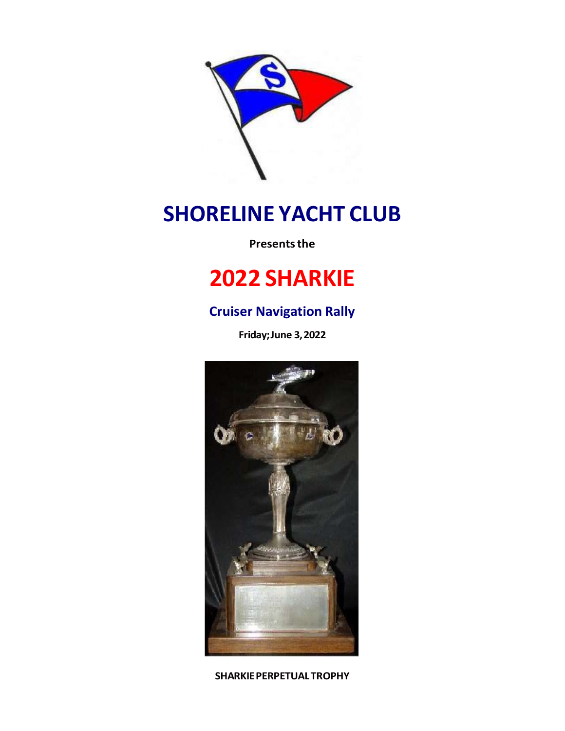

# **SHORELINE YACHT CLUB**

**Presents the** 

# **2022 SHARKIE**

## **Cruiser Navigation Rally**

**Friday;June 3,2022**



**SHARKIEPERPETUALTROPHY**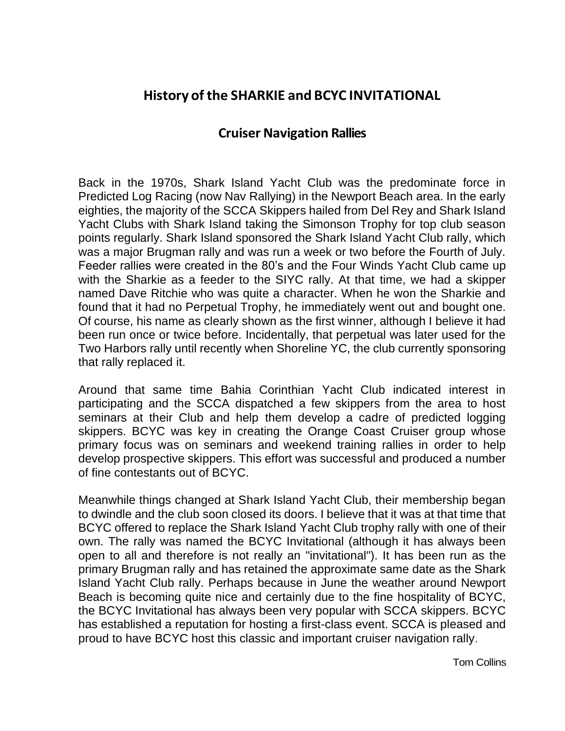## **History of the SHARKIE and BCYC INVITATIONAL**

### **Cruiser Navigation Rallies**

Back in the 1970s, Shark Island Yacht Club was the predominate force in Predicted Log Racing (now Nav Rallying) in the Newport Beach area. In the early eighties, the majority of the SCCA Skippers hailed from Del Rey and Shark Island Yacht Clubs with Shark Island taking the Simonson Trophy for top club season points regularly. Shark Island sponsored the Shark Island Yacht Club rally, which was a major Brugman rally and was run a week or two before the Fourth of July. Feeder rallies were created in the 80's and the Four Winds Yacht Club came up with the Sharkie as a feeder to the SIYC rally. At that time, we had a skipper named Dave Ritchie who was quite a character. When he won the Sharkie and found that it had no Perpetual Trophy, he immediately went out and bought one. Of course, his name as clearly shown as the first winner, although I believe it had been run once or twice before. Incidentally, that perpetual was later used for the Two Harbors rally until recently when Shoreline YC, the club currently sponsoring that rally replaced it.

Around that same time Bahia Corinthian Yacht Club indicated interest in participating and the SCCA dispatched a few skippers from the area to host seminars at their Club and help them develop a cadre of predicted logging skippers. BCYC was key in creating the Orange Coast Cruiser group whose primary focus was on seminars and weekend training rallies in order to help develop prospective skippers. This effort was successful and produced a number of fine contestants out of BCYC.

Meanwhile things changed at Shark Island Yacht Club, their membership began to dwindle and the club soon closed its doors. I believe that it was at that time that BCYC offered to replace the Shark Island Yacht Club trophy rally with one of their own. The rally was named the BCYC Invitational (although it has always been open to all and therefore is not really an "invitational"). It has been run as the primary Brugman rally and has retained the approximate same date as the Shark Island Yacht Club rally. Perhaps because in June the weather around Newport Beach is becoming quite nice and certainly due to the fine hospitality of BCYC, the BCYC Invitational has always been very popular with SCCA skippers. BCYC has established a reputation for hosting a first-class event. SCCA is pleased and proud to have BCYC host this classic and important cruiser navigation rally.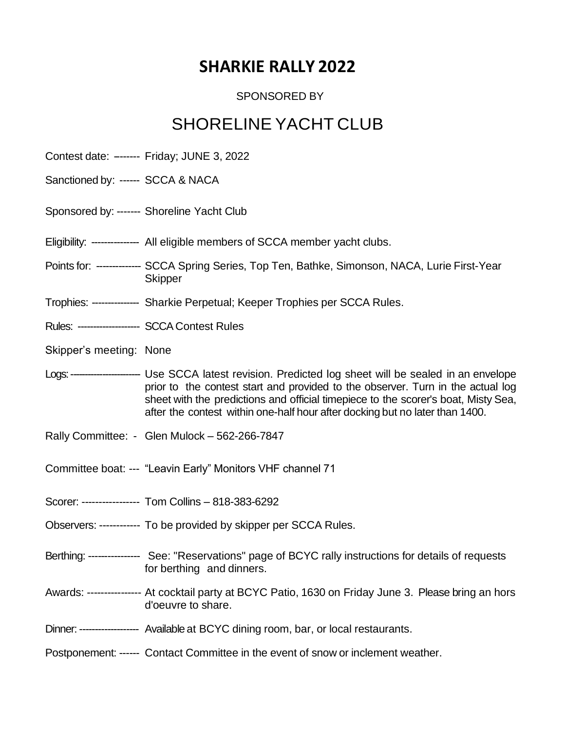# **SHARKIE RALLY 2022**

#### SPONSORED BY

# SHORELINE YACHT CLUB

- Contest date: -------- Friday; JUNE 3, 2022
- Sanctioned by: ------ SCCA & NACA
- Sponsored by: ------- Shoreline Yacht Club
- Eligibility: --------------- All eligible members of SCCA member yacht clubs.
- Points for: ------------- SCCA Spring Series, Top Ten, Bathke, Simonson, NACA, Lurie First-Year **Skipper**
- Trophies: --------------- Sharkie Perpetual; Keeper Trophies per SCCA Rules.
- Rules: -------------------- SCCA Contest Rules
- Skipper's meeting: None
- Logs:------------------------ Use SCCA latest revision. Predicted log sheet will be sealed in an envelope prior to the contest start and provided to the observer. Turn in the actual log sheet with the predictions and official timepiece to the scorer's boat, Misty Sea, after the contest within one-half hour after docking but no later than 1400.
- Rally Committee: Glen Mulock 562-266-7847
- Committee boat: --- "Leavin Early" Monitors VHF channel 71
- Scorer: ----------------- Tom Collins 818-383-6292
- Observers: ------------ To be provided by skipper per SCCA Rules.
- Berthing: ---------------- See: "Reservations" page of BCYC rally instructions for details of requests for berthing and dinners.
- Awards: ---------------- At cocktail party at BCYC Patio, 1630 on Friday June 3. Please bring an hors d'oeuvre to share.
- Dinner: ------------------- Available at BCYC dining room, bar, or local restaurants.
- Postponement: ------ Contact Committee in the event of snow or inclement weather.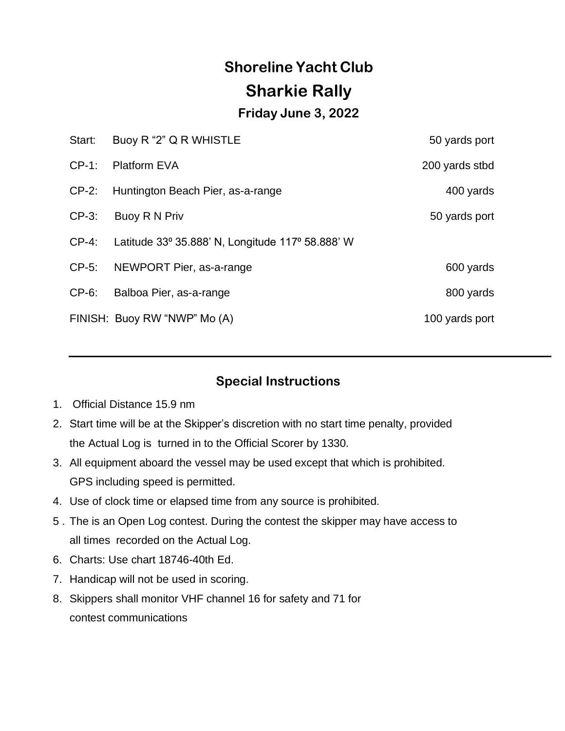# **Shoreline Yacht Club Sharkie Rally**

#### **Friday June 3, 2022**

| Start:   | Buoy R "2" Q R WHISTLE                           | 50 yards port  |
|----------|--------------------------------------------------|----------------|
| $CP-1$ : | <b>Platform EVA</b>                              | 200 yards stbd |
| $CP-2$ : | Huntington Beach Pier, as-a-range                | 400 yards      |
| $CP-3$ : | Buoy R N Priv                                    | 50 yards port  |
| $CP-4$ : | Latitude 33° 35.888' N, Longitude 117° 58.888' W |                |
| $CP-5$ : | NEWPORT Pier, as-a-range                         | 600 yards      |
| $CP-6$ : | Balboa Pier, as-a-range                          | 800 yards      |
|          | FINISH: Buoy RW "NWP" Mo (A)                     | 100 yards port |

### **Special Instructions**

- 1. Official Distance 15.9 nm
- 2. Start time will be at the Skipper's discretion with no start time penalty, provided the Actual Log is turned in to the Official Scorer by 1330.
- 3. All equipment aboard the vessel may be used except that which is prohibited. GPS including speed is permitted.
- 4. Use of clock time or elapsed time from any source is prohibited.
- 5 . The is an Open Log contest. During the contest the skipper may have access to all times recorded on the Actual Log.
- 6. Charts: Use chart 18746-40th Ed.
- 7. Handicap will not be used in scoring.
- 8. Skippers shall monitor VHF channel 16 for safety and 71 for contest communications